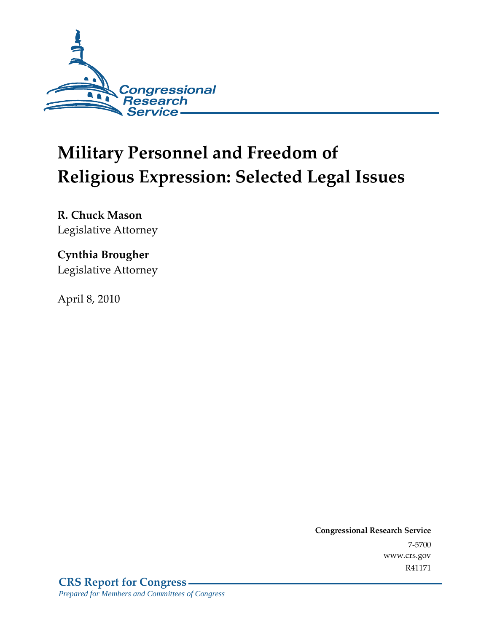

# **Military Personnel and Freedom of Religious Expression: Selected Legal Issues**

**R. Chuck Mason**  Legislative Attorney

## **Cynthia Brougher**  Legislative Attorney

April 8, 2010

**Congressional Research Service** 7-5700 www.crs.gov R41171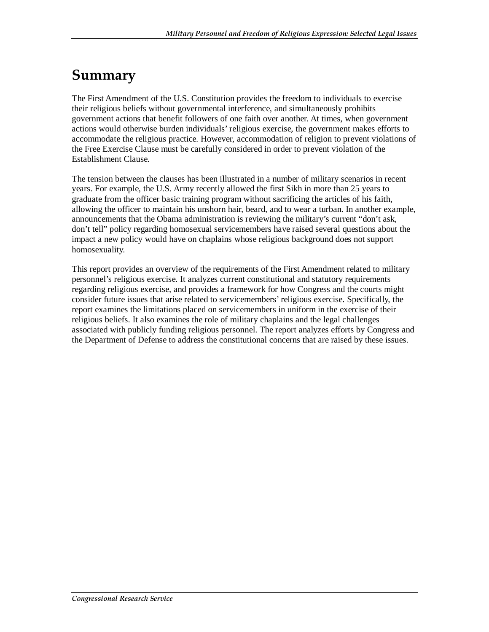## **Summary**

The First Amendment of the U.S. Constitution provides the freedom to individuals to exercise their religious beliefs without governmental interference, and simultaneously prohibits government actions that benefit followers of one faith over another. At times, when government actions would otherwise burden individuals' religious exercise, the government makes efforts to accommodate the religious practice. However, accommodation of religion to prevent violations of the Free Exercise Clause must be carefully considered in order to prevent violation of the Establishment Clause.

The tension between the clauses has been illustrated in a number of military scenarios in recent years. For example, the U.S. Army recently allowed the first Sikh in more than 25 years to graduate from the officer basic training program without sacrificing the articles of his faith, allowing the officer to maintain his unshorn hair, beard, and to wear a turban. In another example, announcements that the Obama administration is reviewing the military's current "don't ask, don't tell" policy regarding homosexual servicemembers have raised several questions about the impact a new policy would have on chaplains whose religious background does not support homosexuality.

This report provides an overview of the requirements of the First Amendment related to military personnel's religious exercise. It analyzes current constitutional and statutory requirements regarding religious exercise, and provides a framework for how Congress and the courts might consider future issues that arise related to servicemembers' religious exercise. Specifically, the report examines the limitations placed on servicemembers in uniform in the exercise of their religious beliefs. It also examines the role of military chaplains and the legal challenges associated with publicly funding religious personnel. The report analyzes efforts by Congress and the Department of Defense to address the constitutional concerns that are raised by these issues.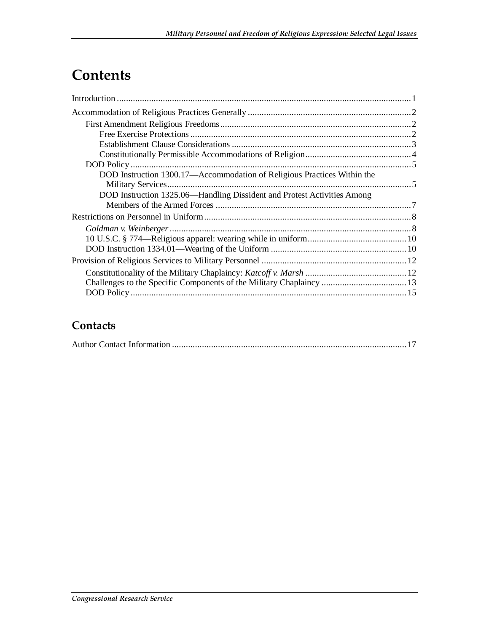## **Contents**

| DOD Instruction 1300.17—Accommodation of Religious Practices Within the |  |
|-------------------------------------------------------------------------|--|
| DOD Instruction 1325.06-Handling Dissident and Protest Activities Among |  |
|                                                                         |  |
|                                                                         |  |
|                                                                         |  |
|                                                                         |  |
|                                                                         |  |
|                                                                         |  |
|                                                                         |  |
| Challenges to the Specific Components of the Military Chaplaincy  13    |  |
|                                                                         |  |

### **Contacts**

|--|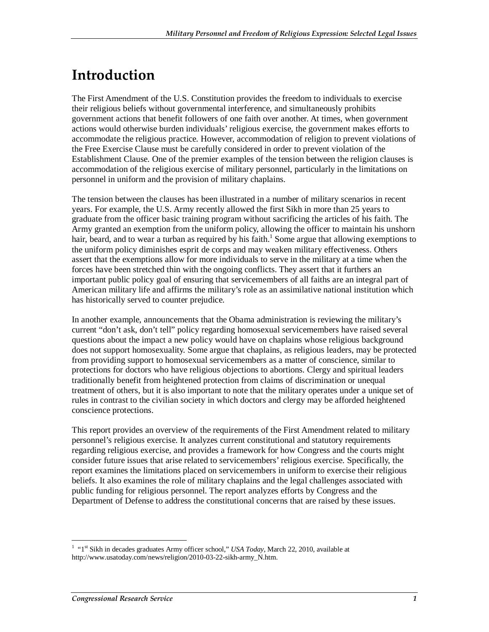## **Introduction**

The First Amendment of the U.S. Constitution provides the freedom to individuals to exercise their religious beliefs without governmental interference, and simultaneously prohibits government actions that benefit followers of one faith over another. At times, when government actions would otherwise burden individuals' religious exercise, the government makes efforts to accommodate the religious practice. However, accommodation of religion to prevent violations of the Free Exercise Clause must be carefully considered in order to prevent violation of the Establishment Clause. One of the premier examples of the tension between the religion clauses is accommodation of the religious exercise of military personnel, particularly in the limitations on personnel in uniform and the provision of military chaplains.

The tension between the clauses has been illustrated in a number of military scenarios in recent years. For example, the U.S. Army recently allowed the first Sikh in more than 25 years to graduate from the officer basic training program without sacrificing the articles of his faith. The Army granted an exemption from the uniform policy, allowing the officer to maintain his unshorn hair, beard, and to wear a turban as required by his faith.<sup>1</sup> Some argue that allowing exemptions to the uniform policy diminishes esprit de corps and may weaken military effectiveness. Others assert that the exemptions allow for more individuals to serve in the military at a time when the forces have been stretched thin with the ongoing conflicts. They assert that it furthers an important public policy goal of ensuring that servicemembers of all faiths are an integral part of American military life and affirms the military's role as an assimilative national institution which has historically served to counter prejudice.

In another example, announcements that the Obama administration is reviewing the military's current "don't ask, don't tell" policy regarding homosexual servicemembers have raised several questions about the impact a new policy would have on chaplains whose religious background does not support homosexuality. Some argue that chaplains, as religious leaders, may be protected from providing support to homosexual servicemembers as a matter of conscience, similar to protections for doctors who have religious objections to abortions. Clergy and spiritual leaders traditionally benefit from heightened protection from claims of discrimination or unequal treatment of others, but it is also important to note that the military operates under a unique set of rules in contrast to the civilian society in which doctors and clergy may be afforded heightened conscience protections.

This report provides an overview of the requirements of the First Amendment related to military personnel's religious exercise. It analyzes current constitutional and statutory requirements regarding religious exercise, and provides a framework for how Congress and the courts might consider future issues that arise related to servicemembers' religious exercise. Specifically, the report examines the limitations placed on servicemembers in uniform to exercise their religious beliefs. It also examines the role of military chaplains and the legal challenges associated with public funding for religious personnel. The report analyzes efforts by Congress and the Department of Defense to address the constitutional concerns that are raised by these issues.

 1 "1st Sikh in decades graduates Army officer school," *USA Today*, March 22, 2010, available at http://www.usatoday.com/news/religion/2010-03-22-sikh-army\_N.htm.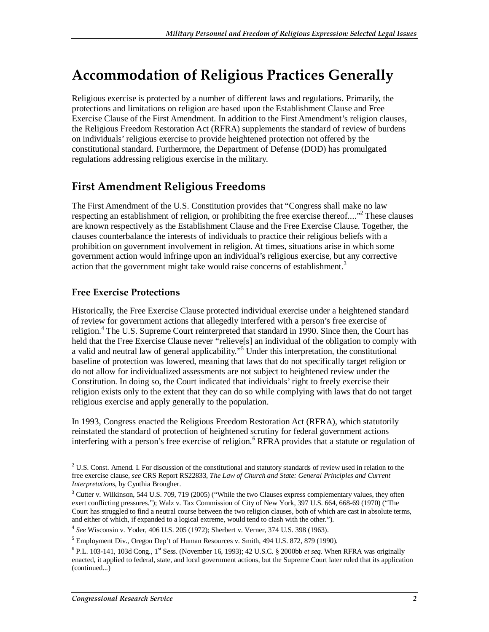## **Accommodation of Religious Practices Generally**

Religious exercise is protected by a number of different laws and regulations. Primarily, the protections and limitations on religion are based upon the Establishment Clause and Free Exercise Clause of the First Amendment. In addition to the First Amendment's religion clauses, the Religious Freedom Restoration Act (RFRA) supplements the standard of review of burdens on individuals' religious exercise to provide heightened protection not offered by the constitutional standard. Furthermore, the Department of Defense (DOD) has promulgated regulations addressing religious exercise in the military.

### **First Amendment Religious Freedoms**

The First Amendment of the U.S. Constitution provides that "Congress shall make no law respecting an establishment of religion, or prohibiting the free exercise thereof...."<sup>2</sup> These clauses are known respectively as the Establishment Clause and the Free Exercise Clause. Together, the clauses counterbalance the interests of individuals to practice their religious beliefs with a prohibition on government involvement in religion. At times, situations arise in which some government action would infringe upon an individual's religious exercise, but any corrective action that the government might take would raise concerns of establishment.<sup>3</sup>

#### **Free Exercise Protections**

Historically, the Free Exercise Clause protected individual exercise under a heightened standard of review for government actions that allegedly interfered with a person's free exercise of religion.<sup>4</sup> The U.S. Supreme Court reinterpreted that standard in 1990. Since then, the Court has held that the Free Exercise Clause never "relieve[s] an individual of the obligation to comply with a valid and neutral law of general applicability."<sup>5</sup> Under this interpretation, the constitutional baseline of protection was lowered, meaning that laws that do not specifically target religion or do not allow for individualized assessments are not subject to heightened review under the Constitution. In doing so, the Court indicated that individuals' right to freely exercise their religion exists only to the extent that they can do so while complying with laws that do not target religious exercise and apply generally to the population.

In 1993, Congress enacted the Religious Freedom Restoration Act (RFRA), which statutorily reinstated the standard of protection of heightened scrutiny for federal government actions interfering with a person's free exercise of religion.<sup>6</sup> RFRA provides that a statute or regulation of

**<sup>2</sup>**<br><sup>2</sup> U.S. Const. Amend. I. For discussion of the constitutional and statutory standards of review used in relation to the free exercise clause, *see* CRS Report RS22833, *The Law of Church and State: General Principles and Current Interpretations*, by Cynthia Brougher.

<sup>&</sup>lt;sup>3</sup> Cutter v. Wilkinson, 544 U.S. 709, 719 (2005) ("While the two Clauses express complementary values, they often exert conflicting pressures."); Walz v. Tax Commission of City of New York, 397 U.S. 664, 668-69 (1970) ("The Court has struggled to find a neutral course between the two religion clauses, both of which are cast in absolute terms, and either of which, if expanded to a logical extreme, would tend to clash with the other.").

<sup>4</sup> *See* Wisconsin v. Yoder, 406 U.S. 205 (1972); Sherbert v. Verner, 374 U.S. 398 (1963).

<sup>&</sup>lt;sup>5</sup> Employment Div., Oregon Dep't of Human Resources v. Smith, 494 U.S. 872, 879 (1990).

<sup>&</sup>lt;sup>6</sup> P.L. 103-141, 103d Cong., 1<sup>st</sup> Sess. (November 16, 1993); 42 U.S.C. § 2000bb *et seq*. When RFRA was originally enacted, it applied to federal, state, and local government actions, but the Supreme Court later ruled that its application (continued...)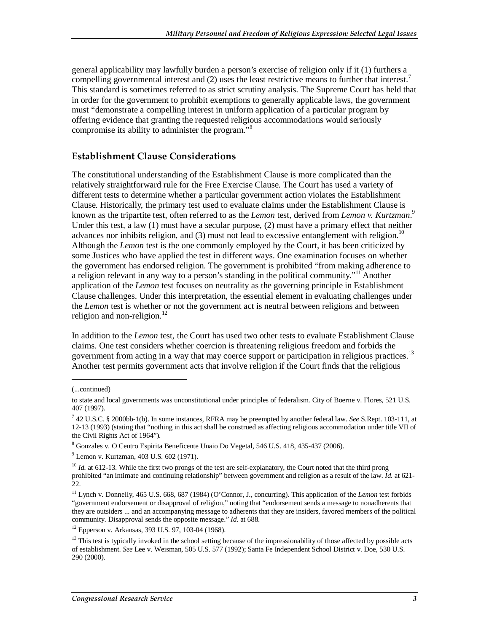general applicability may lawfully burden a person's exercise of religion only if it (1) furthers a compelling governmental interest and  $(2)$  uses the least restrictive means to further that interest.<sup>7</sup> This standard is sometimes referred to as strict scrutiny analysis. The Supreme Court has held that in order for the government to prohibit exemptions to generally applicable laws, the government must "demonstrate a compelling interest in uniform application of a particular program by offering evidence that granting the requested religious accommodations would seriously compromise its ability to administer the program."<sup>8</sup>

#### **Establishment Clause Considerations**

The constitutional understanding of the Establishment Clause is more complicated than the relatively straightforward rule for the Free Exercise Clause. The Court has used a variety of different tests to determine whether a particular government action violates the Establishment Clause. Historically, the primary test used to evaluate claims under the Establishment Clause is known as the tripartite test, often referred to as the *Lemon* test, derived from *Lemon v. Kurtzman*. 9 Under this test, a law (1) must have a secular purpose, (2) must have a primary effect that neither advances nor inhibits religion, and  $(3)$  must not lead to excessive entanglement with religion.<sup>10</sup> Although the *Lemon* test is the one commonly employed by the Court, it has been criticized by some Justices who have applied the test in different ways. One examination focuses on whether the government has endorsed religion. The government is prohibited "from making adherence to a religion relevant in any way to a person's standing in the political community."<sup>11</sup> Another application of the *Lemon* test focuses on neutrality as the governing principle in Establishment Clause challenges. Under this interpretation, the essential element in evaluating challenges under the *Lemon* test is whether or not the government act is neutral between religions and between religion and non-religion.<sup>12</sup>

In addition to the *Lemon* test, the Court has used two other tests to evaluate Establishment Clause claims. One test considers whether coercion is threatening religious freedom and forbids the government from acting in a way that may coerce support or participation in religious practices.<sup>13</sup> Another test permits government acts that involve religion if the Court finds that the religious

1

<sup>(...</sup>continued)

to state and local governments was unconstitutional under principles of federalism. City of Boerne v. Flores, 521 U.S. 407 (1997).

<sup>7</sup> 42 U.S.C. § 2000bb-1(b). In some instances, RFRA may be preempted by another federal law. *See* S.Rept. 103-111, at 12-13 (1993) (stating that "nothing in this act shall be construed as affecting religious accommodation under title VII of the Civil Rights Act of 1964").

<sup>8</sup> Gonzales v. O Centro Espirita Beneficente Unaio Do Vegetal, 546 U.S. 418, 435-437 (2006).

<sup>9</sup> Lemon v. Kurtzman, 403 U.S. 602 (1971).

<sup>&</sup>lt;sup>10</sup> *Id.* at 612-13. While the first two prongs of the test are self-explanatory, the Court noted that the third prong prohibited "an intimate and continuing relationship" between government and religion as a result of the law. *Id*. at 621- 22.

<sup>11</sup> Lynch v. Donnelly, 465 U.S. 668, 687 (1984) (O'Connor, J., concurring). This application of the *Lemon* test forbids "government endorsement or disapproval of religion," noting that "endorsement sends a message to nonadherents that they are outsiders ... and an accompanying message to adherents that they are insiders, favored members of the political community. Disapproval sends the opposite message." *Id*. at 688.

<sup>12</sup> Epperson v. Arkansas, 393 U.S. 97, 103-04 (1968).

 $<sup>13</sup>$  This test is typically invoked in the school setting because of the impressionability of those affected by possible acts</sup> of establishment. *See* Lee v. Weisman, 505 U.S. 577 (1992); Santa Fe Independent School District v. Doe, 530 U.S. 290 (2000).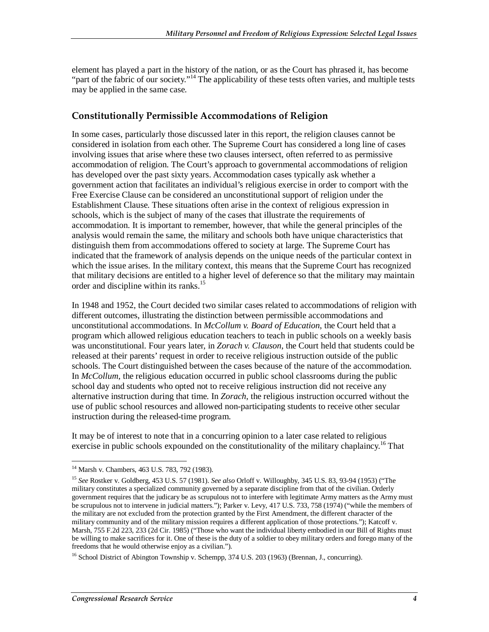element has played a part in the history of the nation, or as the Court has phrased it, has become "part of the fabric of our society."<sup>14</sup> The applicability of these tests often varies, and multiple tests may be applied in the same case.

#### **Constitutionally Permissible Accommodations of Religion**

In some cases, particularly those discussed later in this report, the religion clauses cannot be considered in isolation from each other. The Supreme Court has considered a long line of cases involving issues that arise where these two clauses intersect, often referred to as permissive accommodation of religion. The Court's approach to governmental accommodations of religion has developed over the past sixty years. Accommodation cases typically ask whether a government action that facilitates an individual's religious exercise in order to comport with the Free Exercise Clause can be considered an unconstitutional support of religion under the Establishment Clause. These situations often arise in the context of religious expression in schools, which is the subject of many of the cases that illustrate the requirements of accommodation. It is important to remember, however, that while the general principles of the analysis would remain the same, the military and schools both have unique characteristics that distinguish them from accommodations offered to society at large. The Supreme Court has indicated that the framework of analysis depends on the unique needs of the particular context in which the issue arises. In the military context, this means that the Supreme Court has recognized that military decisions are entitled to a higher level of deference so that the military may maintain order and discipline within its ranks.<sup>15</sup>

In 1948 and 1952, the Court decided two similar cases related to accommodations of religion with different outcomes, illustrating the distinction between permissible accommodations and unconstitutional accommodations. In *McCollum v. Board of Education*, the Court held that a program which allowed religious education teachers to teach in public schools on a weekly basis was unconstitutional. Four years later, in *Zorach v. Clauson*, the Court held that students could be released at their parents' request in order to receive religious instruction outside of the public schools. The Court distinguished between the cases because of the nature of the accommodation. In *McCollum*, the religious education occurred in public school classrooms during the public school day and students who opted not to receive religious instruction did not receive any alternative instruction during that time. In *Zorach*, the religious instruction occurred without the use of public school resources and allowed non-participating students to receive other secular instruction during the released-time program.

It may be of interest to note that in a concurring opinion to a later case related to religious exercise in public schools expounded on the constitutionality of the military chaplaincy.<sup>16</sup> That

<sup>-</sup><sup>14</sup> Marsh v. Chambers, 463 U.S. 783, 792 (1983).

<sup>15</sup> *See* Rostker v. Goldberg, 453 U.S. 57 (1981). *See also* Orloff v. Willoughby, 345 U.S. 83, 93-94 (1953) ("The military constitutes a specialized community governed by a separate discipline from that of the civilian. Orderly government requires that the judicary be as scrupulous not to interfere with legitimate Army matters as the Army must be scrupulous not to intervene in judicial matters."); Parker v. Levy, 417 U.S. 733, 758 (1974) ("while the members of the military are not excluded from the protection granted by the First Amendment, the different character of the military community and of the military mission requires a different application of those protections."); Katcoff v. Marsh, 755 F.2d 223, 233 (2d Cir. 1985) ("Those who want the individual liberty embodied in our Bill of Rights must be willing to make sacrifices for it. One of these is the duty of a soldier to obey military orders and forego many of the freedoms that he would otherwise enjoy as a civilian.").

<sup>&</sup>lt;sup>16</sup> School District of Abington Township v. Schempp, 374 U.S. 203 (1963) (Brennan, J., concurring).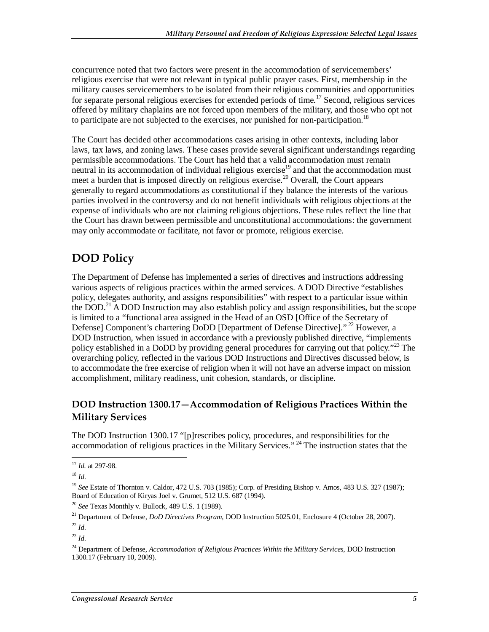concurrence noted that two factors were present in the accommodation of servicemembers' religious exercise that were not relevant in typical public prayer cases. First, membership in the military causes servicemembers to be isolated from their religious communities and opportunities for separate personal religious exercises for extended periods of time.<sup>17</sup> Second, religious services offered by military chaplains are not forced upon members of the military, and those who opt not to participate are not subjected to the exercises, nor punished for non-participation.<sup>18</sup>

The Court has decided other accommodations cases arising in other contexts, including labor laws, tax laws, and zoning laws. These cases provide several significant understandings regarding permissible accommodations. The Court has held that a valid accommodation must remain neutral in its accommodation of individual religious exercise<sup>19</sup> and that the accommodation must meet a burden that is imposed directly on religious exercise.<sup>20</sup> Overall, the Court appears generally to regard accommodations as constitutional if they balance the interests of the various parties involved in the controversy and do not benefit individuals with religious objections at the expense of individuals who are not claiming religious objections. These rules reflect the line that the Court has drawn between permissible and unconstitutional accommodations: the government may only accommodate or facilitate, not favor or promote, religious exercise.

## **DOD Policy**

The Department of Defense has implemented a series of directives and instructions addressing various aspects of religious practices within the armed services. A DOD Directive "establishes policy, delegates authority, and assigns responsibilities" with respect to a particular issue within the DOD.21 A DOD Instruction may also establish policy and assign responsibilities, but the scope is limited to a "functional area assigned in the Head of an OSD [Office of the Secretary of Defense] Component's chartering DoDD [Department of Defense Directive]."<sup>22</sup> However, a DOD Instruction, when issued in accordance with a previously published directive, "implements policy established in a DoDD by providing general procedures for carrying out that policy.<sup>"23</sup> The overarching policy, reflected in the various DOD Instructions and Directives discussed below, is to accommodate the free exercise of religion when it will not have an adverse impact on mission accomplishment, military readiness, unit cohesion, standards, or discipline.

#### **DOD Instruction 1300.17—Accommodation of Religious Practices Within the Military Services**

The DOD Instruction 1300.17 "[p]rescribes policy, procedures, and responsibilities for the accommodation of religious practices in the Military Services." <sup>24</sup> The instruction states that the

<sup>-</sup><sup>17</sup> *Id.* at 297-98.

<sup>18</sup> *Id*.

<sup>19</sup> *See* Estate of Thornton v. Caldor, 472 U.S. 703 (1985); Corp. of Presiding Bishop v. Amos, 483 U.S. 327 (1987); Board of Education of Kiryas Joel v. Grumet, 512 U.S. 687 (1994).

<sup>20</sup> *See* Texas Monthly v. Bullock, 489 U.S. 1 (1989).

<sup>21</sup> Department of Defense, *DoD Directives Program*, DOD Instruction 5025.01, Enclosure 4 (October 28, 2007). <sup>22</sup> *Id*.

<sup>23</sup> *Id*.

<sup>24</sup> Department of Defense, *Accommodation of Religious Practices Within the Military Services*, DOD Instruction 1300.17 (February 10, 2009).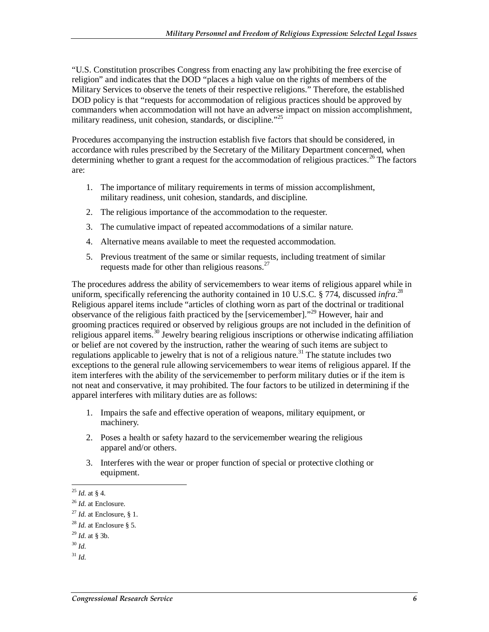"U.S. Constitution proscribes Congress from enacting any law prohibiting the free exercise of religion" and indicates that the DOD "places a high value on the rights of members of the Military Services to observe the tenets of their respective religions." Therefore, the established DOD policy is that "requests for accommodation of religious practices should be approved by commanders when accommodation will not have an adverse impact on mission accomplishment, military readiness, unit cohesion, standards, or discipline."<sup>25</sup>

Procedures accompanying the instruction establish five factors that should be considered, in accordance with rules prescribed by the Secretary of the Military Department concerned, when determining whether to grant a request for the accommodation of religious practices.<sup>26</sup> The factors are:

- 1. The importance of military requirements in terms of mission accomplishment, military readiness, unit cohesion, standards, and discipline.
- 2. The religious importance of the accommodation to the requester.
- 3. The cumulative impact of repeated accommodations of a similar nature.
- 4. Alternative means available to meet the requested accommodation.
- 5. Previous treatment of the same or similar requests, including treatment of similar requests made for other than religious reasons.<sup>27</sup>

The procedures address the ability of servicemembers to wear items of religious apparel while in uniform, specifically referencing the authority contained in 10 U.S.C. § 774, discussed *infra*. 28 Religious apparel items include "articles of clothing worn as part of the doctrinal or traditional observance of the religious faith practiced by the [servicemember]."<sup>29</sup> However, hair and grooming practices required or observed by religious groups are not included in the definition of religious apparel items.<sup>30</sup> Jewelry bearing religious inscriptions or otherwise indicating affiliation or belief are not covered by the instruction, rather the wearing of such items are subject to regulations applicable to jewelry that is not of a religious nature.<sup>31</sup> The statute includes two exceptions to the general rule allowing servicemembers to wear items of religious apparel. If the item interferes with the ability of the servicemember to perform military duties or if the item is not neat and conservative, it may prohibited. The four factors to be utilized in determining if the apparel interferes with military duties are as follows:

- 1. Impairs the safe and effective operation of weapons, military equipment, or machinery.
- 2. Poses a health or safety hazard to the servicemember wearing the religious apparel and/or others.
- 3. Interferes with the wear or proper function of special or protective clothing or equipment.

 $\frac{1}{2}$ <sup>25</sup> *Id*. at § 4.

<sup>26</sup> *Id*. at Enclosure. 27 *Id*. at Enclosure, § 1.

<sup>28</sup> *Id*. at Enclosure § 5.

<sup>29</sup> *Id*. at § 3b.

<sup>30</sup> *Id*.

 $31$  *Id.*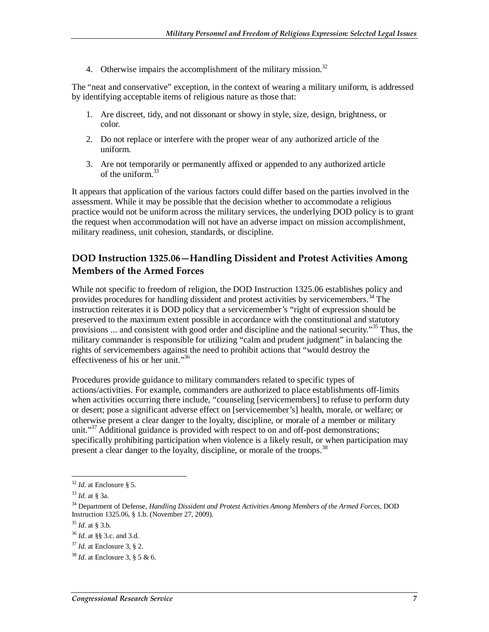4. Otherwise impairs the accomplishment of the military mission.<sup>32</sup>

The "neat and conservative" exception, in the context of wearing a military uniform, is addressed by identifying acceptable items of religious nature as those that:

- 1. Are discreet, tidy, and not dissonant or showy in style, size, design, brightness, or color.
- 2. Do not replace or interfere with the proper wear of any authorized article of the uniform.
- 3. Are not temporarily or permanently affixed or appended to any authorized article of the uniform.<sup>33</sup>

It appears that application of the various factors could differ based on the parties involved in the assessment. While it may be possible that the decision whether to accommodate a religious practice would not be uniform across the military services, the underlying DOD policy is to grant the request when accommodation will not have an adverse impact on mission accomplishment, military readiness, unit cohesion, standards, or discipline.

#### **DOD Instruction 1325.06—Handling Dissident and Protest Activities Among Members of the Armed Forces**

While not specific to freedom of religion, the DOD Instruction 1325.06 establishes policy and provides procedures for handling dissident and protest activities by servicemembers.<sup>34</sup> The instruction reiterates it is DOD policy that a servicemember's "right of expression should be preserved to the maximum extent possible in accordance with the constitutional and statutory provisions ... and consistent with good order and discipline and the national security."<sup>35</sup> Thus, the military commander is responsible for utilizing "calm and prudent judgment" in balancing the rights of servicemembers against the need to prohibit actions that "would destroy the effectiveness of his or her unit."<sup>36</sup>

Procedures provide guidance to military commanders related to specific types of actions/activities. For example, commanders are authorized to place establishments off-limits when activities occurring there include, "counseling [servicemembers] to refuse to perform duty or desert; pose a significant adverse effect on [servicemember's] health, morale, or welfare; or otherwise present a clear danger to the loyalty, discipline, or morale of a member or military unit."<sup>37</sup> Additional guidance is provided with respect to on and off-post demonstrations; specifically prohibiting participation when violence is a likely result, or when participation may present a clear danger to the loyalty, discipline, or morale of the troops.<sup>38</sup>

<sup>&</sup>lt;u>.</u> <sup>32</sup> *Id*. at Enclosure § 5.

<sup>33</sup> *Id*. at § 3a.

<sup>34</sup> Department of Defense, *Handling Dissident and Protest Activities Among Members of the Armed Forces*, DOD Instruction 1325.06, § 1.b. (November 27, 2009).

<sup>35</sup> *Id*. at § 3.b.

<sup>36</sup> *Id*. at §§ 3.c. and 3.d.

<sup>37</sup> *Id*. at Enclosure 3, § 2.

<sup>38</sup> *Id*. at Enclosure 3, § 5 & 6.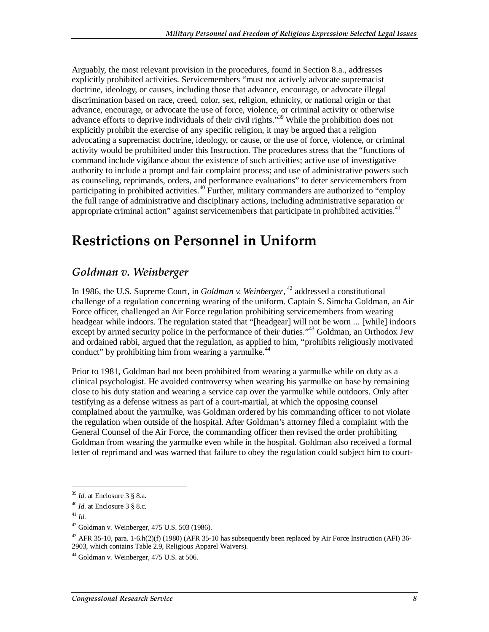Arguably, the most relevant provision in the procedures, found in Section 8.a., addresses explicitly prohibited activities. Servicemembers "must not actively advocate supremacist doctrine, ideology, or causes, including those that advance, encourage, or advocate illegal discrimination based on race, creed, color, sex, religion, ethnicity, or national origin or that advance, encourage, or advocate the use of force, violence, or criminal activity or otherwise advance efforts to deprive individuals of their civil rights."<sup>39</sup> While the prohibition does not explicitly prohibit the exercise of any specific religion, it may be argued that a religion advocating a supremacist doctrine, ideology, or cause, or the use of force, violence, or criminal activity would be prohibited under this Instruction. The procedures stress that the "functions of command include vigilance about the existence of such activities; active use of investigative authority to include a prompt and fair complaint process; and use of administrative powers such as counseling, reprimands, orders, and performance evaluations" to deter servicemembers from participating in prohibited activities.<sup>40</sup> Further, military commanders are authorized to "employ" the full range of administrative and disciplinary actions, including administrative separation or appropriate criminal action" against servicemembers that participate in prohibited activities.<sup>41</sup>

## **Restrictions on Personnel in Uniform**

### *Goldman v. Weinberger*

In 1986, the U.S. Supreme Court, in *Goldman v. Weinberger*, <sup>42</sup> addressed a constitutional challenge of a regulation concerning wearing of the uniform. Captain S. Simcha Goldman, an Air Force officer, challenged an Air Force regulation prohibiting servicemembers from wearing headgear while indoors. The regulation stated that "[headgear] will not be worn ... [while] indoors except by armed security police in the performance of their duties."<sup>43</sup> Goldman, an Orthodox Jew and ordained rabbi, argued that the regulation, as applied to him, "prohibits religiously motivated conduct" by prohibiting him from wearing a yarmulke. $44$ 

Prior to 1981, Goldman had not been prohibited from wearing a yarmulke while on duty as a clinical psychologist. He avoided controversy when wearing his yarmulke on base by remaining close to his duty station and wearing a service cap over the yarmulke while outdoors. Only after testifying as a defense witness as part of a court-martial, at which the opposing counsel complained about the yarmulke, was Goldman ordered by his commanding officer to not violate the regulation when outside of the hospital. After Goldman's attorney filed a complaint with the General Counsel of the Air Force, the commanding officer then revised the order prohibiting Goldman from wearing the yarmulke even while in the hospital. Goldman also received a formal letter of reprimand and was warned that failure to obey the regulation could subject him to court-

<u>.</u>

<sup>39</sup> *Id*. at Enclosure 3 § 8.a. 40 *Id*. at Enclosure 3 § 8.c.

<sup>41</sup> *Id*.

 $42$  Goldman v. Weinberger, 475 U.S. 503 (1986).

<sup>&</sup>lt;sup>43</sup> AFR 35-10, para. 1-6.h(2)(f) (1980) (AFR 35-10 has subsequently been replaced by Air Force Instruction (AFI) 36-2903, which contains Table 2.9, Religious Apparel Waivers).

 $44$  Goldman v. Weinberger, 475 U.S. at 506.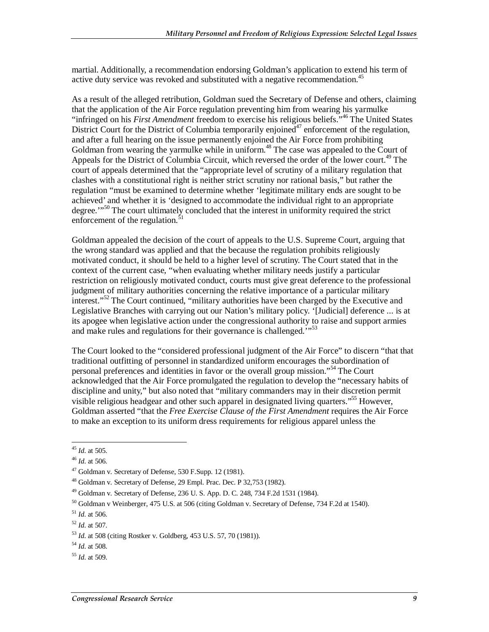martial. Additionally, a recommendation endorsing Goldman's application to extend his term of active duty service was revoked and substituted with a negative recommendation.<sup>45</sup>

As a result of the alleged retribution, Goldman sued the Secretary of Defense and others, claiming that the application of the Air Force regulation preventing him from wearing his yarmulke "infringed on his *First Amendment* freedom to exercise his religious beliefs."46 The United States District Court for the District of Columbia temporarily enjoined<sup>47</sup> enforcement of the regulation, and after a full hearing on the issue permanently enjoined the Air Force from prohibiting Goldman from wearing the yarmulke while in uniform.<sup>48</sup> The case was appealed to the Court of Appeals for the District of Columbia Circuit, which reversed the order of the lower court.<sup>49</sup> The court of appeals determined that the "appropriate level of scrutiny of a military regulation that clashes with a constitutional right is neither strict scrutiny nor rational basis," but rather the regulation "must be examined to determine whether 'legitimate military ends are sought to be achieved' and whether it is 'designed to accommodate the individual right to an appropriate degree."<sup>50</sup> The court ultimately concluded that the interest in uniformity required the strict enforcement of the regulation. $\frac{5}{5}$ 

Goldman appealed the decision of the court of appeals to the U.S. Supreme Court, arguing that the wrong standard was applied and that the because the regulation prohibits religiously motivated conduct, it should be held to a higher level of scrutiny. The Court stated that in the context of the current case, "when evaluating whether military needs justify a particular restriction on religiously motivated conduct, courts must give great deference to the professional judgment of military authorities concerning the relative importance of a particular military interest."<sup>52</sup> The Court continued, "military authorities have been charged by the Executive and Legislative Branches with carrying out our Nation's military policy. '[Judicial] deference ... is at its apogee when legislative action under the congressional authority to raise and support armies and make rules and regulations for their governance is challenged.<sup>'"53</sup>

The Court looked to the "considered professional judgment of the Air Force" to discern "that that traditional outfitting of personnel in standardized uniform encourages the subordination of personal preferences and identities in favor or the overall group mission."<sup>54</sup> The Court acknowledged that the Air Force promulgated the regulation to develop the "necessary habits of discipline and unity," but also noted that "military commanders may in their discretion permit visible religious headgear and other such apparel in designated living quarters.<sup>555</sup> However, Goldman asserted "that the *Free Exercise Clause of the First Amendment* requires the Air Force to make an exception to its uniform dress requirements for religious apparel unless the

-

<sup>45</sup> *Id*. at 505.

<sup>46</sup> *Id*. at 506.

<sup>47</sup> Goldman v. Secretary of Defense, 530 F.Supp. 12 (1981).

<sup>48</sup> Goldman v. Secretary of Defense, 29 Empl. Prac. Dec. P 32,753 (1982).

 $49$  Goldman v. Secretary of Defense, 236 U. S. App. D. C. 248, 734 F.2d 1531 (1984).

<sup>50</sup> Goldman v Weinberger, 475 U.S. at 506 (citing Goldman v. Secretary of Defense, 734 F.2d at 1540).

<sup>51</sup> *Id*. at 506.

<sup>52</sup> *Id*. at 507.

<sup>53</sup> *Id*. at 508 (citing Rostker v. Goldberg, 453 U.S. 57, 70 (1981)).

<sup>54</sup> *Id*. at 508.

<sup>55</sup> *Id*. at 509.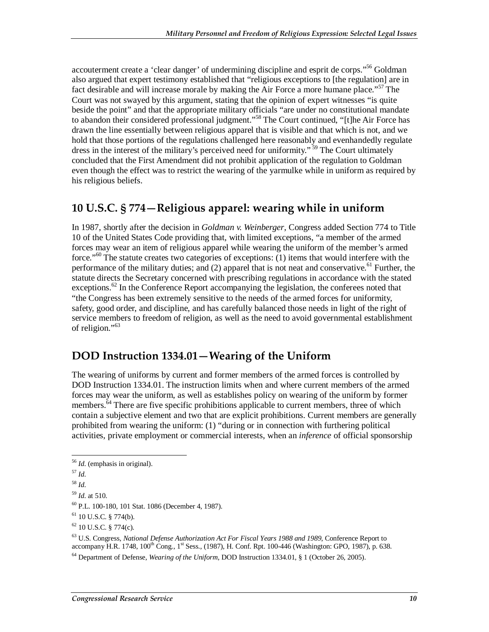accouterment create a 'clear danger' of undermining discipline and esprit de corps."<sup>56</sup> Goldman also argued that expert testimony established that "religious exceptions to [the regulation] are in fact desirable and will increase morale by making the Air Force a more humane place."<sup>57</sup> The Court was not swayed by this argument, stating that the opinion of expert witnesses "is quite beside the point" and that the appropriate military officials "are under no constitutional mandate to abandon their considered professional judgment."<sup>58</sup> The Court continued, "[t]he Air Force has drawn the line essentially between religious apparel that is visible and that which is not, and we hold that those portions of the regulations challenged here reasonably and evenhandedly regulate dress in the interest of the military's perceived need for uniformity."<sup>59</sup> The Court ultimately concluded that the First Amendment did not prohibit application of the regulation to Goldman even though the effect was to restrict the wearing of the yarmulke while in uniform as required by his religious beliefs.

### **10 U.S.C. § 774—Religious apparel: wearing while in uniform**

In 1987, shortly after the decision in *Goldman v. Weinberger*, Congress added Section 774 to Title 10 of the United States Code providing that, with limited exceptions, "a member of the armed forces may wear an item of religious apparel while wearing the uniform of the member's armed force."<sup>60</sup> The statute creates two categories of exceptions: (1) items that would interfere with the performance of the military duties; and (2) apparel that is not neat and conservative.<sup>61</sup> Further, the statute directs the Secretary concerned with prescribing regulations in accordance with the stated exceptions.<sup>62</sup> In the Conference Report accompanying the legislation, the conferees noted that "the Congress has been extremely sensitive to the needs of the armed forces for uniformity, safety, good order, and discipline, and has carefully balanced those needs in light of the right of service members to freedom of religion, as well as the need to avoid governmental establishment of religion."<sup>63</sup>

### **DOD Instruction 1334.01—Wearing of the Uniform**

The wearing of uniforms by current and former members of the armed forces is controlled by DOD Instruction 1334.01. The instruction limits when and where current members of the armed forces may wear the uniform, as well as establishes policy on wearing of the uniform by former members.<sup>64</sup> There are five specific prohibitions applicable to current members, three of which contain a subjective element and two that are explicit prohibitions. Current members are generally prohibited from wearing the uniform: (1) "during or in connection with furthering political activities, private employment or commercial interests, when an *inference* of official sponsorship

<sup>&</sup>lt;u>.</u> <sup>56</sup> *Id*. (emphasis in original). 57 *Id*.

<sup>58</sup> *Id*.

<sup>&</sup>lt;sup>59</sup> *Id.* at 510.<br><sup>60</sup> P.L. 100-180, 101 Stat. 1086 (December 4, 1987).

 $61$  10 U.S.C. § 774(b).

 $62$  10 U.S.C. § 774(c).

<sup>63</sup> U.S. Congress, *National Defense Authorization Act For Fiscal Years 1988 and 1989*, Conference Report to accompany H.R. 1748, 100<sup>th</sup> Cong., 1<sup>st</sup> Sess., (1987), H. Conf. Rpt. 100-446 (Washington: GPO, 1987), p. 638.

<sup>64</sup> Department of Defense, *Wearing of the Uniform*, DOD Instruction 1334.01, § 1 (October 26, 2005).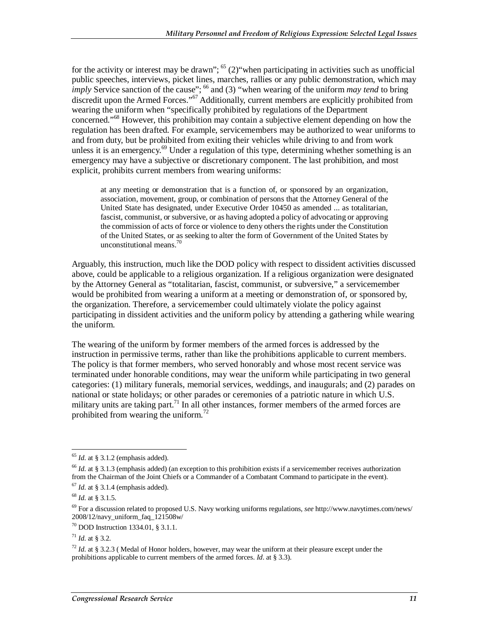for the activity or interest may be drawn";  $<sup>65</sup>$  (2)"when participating in activities such as unofficial</sup> public speeches, interviews, picket lines, marches, rallies or any public demonstration, which may *imply* Service sanction of the cause"; <sup>66</sup> and (3) "when wearing of the uniform *may tend* to bring discredit upon the Armed Forces."<sup>67</sup> Additionally, current members are explicitly prohibited from wearing the uniform when "specifically prohibited by regulations of the Department concerned."<sup>68</sup> However, this prohibition may contain a subjective element depending on how the regulation has been drafted. For example, servicemembers may be authorized to wear uniforms to and from duty, but be prohibited from exiting their vehicles while driving to and from work unless it is an emergency.<sup>69</sup> Under a regulation of this type, determining whether something is an emergency may have a subjective or discretionary component. The last prohibition, and most explicit, prohibits current members from wearing uniforms:

at any meeting or demonstration that is a function of, or sponsored by an organization, association, movement, group, or combination of persons that the Attorney General of the United State has designated, under Executive Order 10450 as amended ... as totalitarian, fascist, communist, or subversive, or as having adopted a policy of advocating or approving the commission of acts of force or violence to deny others the rights under the Constitution of the United States, or as seeking to alter the form of Government of the United States by unconstitutional means.<sup>70</sup>

Arguably, this instruction, much like the DOD policy with respect to dissident activities discussed above, could be applicable to a religious organization. If a religious organization were designated by the Attorney General as "totalitarian, fascist, communist, or subversive," a servicemember would be prohibited from wearing a uniform at a meeting or demonstration of, or sponsored by, the organization. Therefore, a servicemember could ultimately violate the policy against participating in dissident activities and the uniform policy by attending a gathering while wearing the uniform.

The wearing of the uniform by former members of the armed forces is addressed by the instruction in permissive terms, rather than like the prohibitions applicable to current members. The policy is that former members, who served honorably and whose most recent service was terminated under honorable conditions, may wear the uniform while participating in two general categories: (1) military funerals, memorial services, weddings, and inaugurals; and (2) parades on national or state holidays; or other parades or ceremonies of a patriotic nature in which U.S. military units are taking part.<sup>71</sup> In all other instances, former members of the armed forces are prohibited from wearing the uniform.<sup>72</sup>

<sup>-</sup> $65$  *Id.* at § 3.1.2 (emphasis added).

<sup>66</sup> *Id*. at § 3.1.3 (emphasis added) (an exception to this prohibition exists if a servicemember receives authorization from the Chairman of the Joint Chiefs or a Commander of a Combatant Command to participate in the event).  $67$  *Id.* at § 3.1.4 (emphasis added).

<sup>68</sup> *Id*. at § 3.1.5.

<sup>69</sup> For a discussion related to proposed U.S. Navy working uniforms regulations, *see* http://www.navytimes.com/news/ 2008/12/navy\_uniform\_faq\_121508w/

<sup>70</sup> DOD Instruction 1334.01, § 3.1.1.

 $^{71}$  *Id.* at § 3.2.

 $72$  *Id.* at § 3.2.3 (Medal of Honor holders, however, may wear the uniform at their pleasure except under the prohibitions applicable to current members of the armed forces. *Id*. at § 3.3).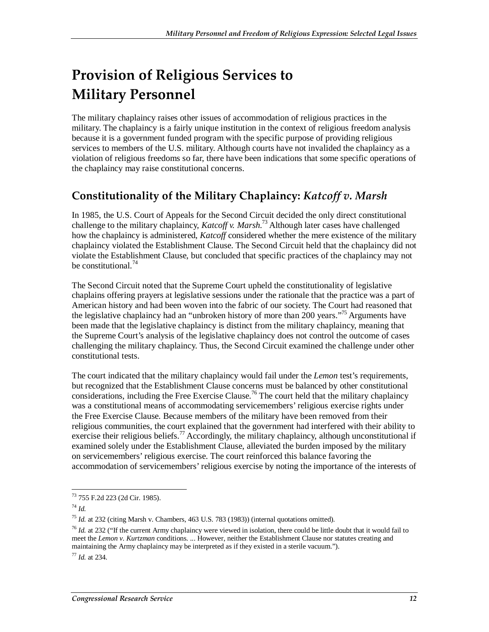## **Provision of Religious Services to Military Personnel**

The military chaplaincy raises other issues of accommodation of religious practices in the military. The chaplaincy is a fairly unique institution in the context of religious freedom analysis because it is a government funded program with the specific purpose of providing religious services to members of the U.S. military. Although courts have not invalided the chaplaincy as a violation of religious freedoms so far, there have been indications that some specific operations of the chaplaincy may raise constitutional concerns.

## **Constitutionality of the Military Chaplaincy:** *Katcoff v. Marsh*

In 1985, the U.S. Court of Appeals for the Second Circuit decided the only direct constitutional challenge to the military chaplaincy, *Katcoff v. Marsh*. 73 Although later cases have challenged how the chaplaincy is administered, *Katcoff* considered whether the mere existence of the military chaplaincy violated the Establishment Clause. The Second Circuit held that the chaplaincy did not violate the Establishment Clause, but concluded that specific practices of the chaplaincy may not be constitutional. $^{74}$ 

The Second Circuit noted that the Supreme Court upheld the constitutionality of legislative chaplains offering prayers at legislative sessions under the rationale that the practice was a part of American history and had been woven into the fabric of our society. The Court had reasoned that the legislative chaplaincy had an "unbroken history of more than 200 years."<sup>75</sup> Arguments have been made that the legislative chaplaincy is distinct from the military chaplaincy, meaning that the Supreme Court's analysis of the legislative chaplaincy does not control the outcome of cases challenging the military chaplaincy. Thus, the Second Circuit examined the challenge under other constitutional tests.

The court indicated that the military chaplaincy would fail under the *Lemon* test's requirements, but recognized that the Establishment Clause concerns must be balanced by other constitutional considerations, including the Free Exercise Clause.<sup>76</sup> The court held that the military chaplaincy was a constitutional means of accommodating servicemembers' religious exercise rights under the Free Exercise Clause. Because members of the military have been removed from their religious communities, the court explained that the government had interfered with their ability to exercise their religious beliefs.<sup>77</sup> Accordingly, the military chaplaincy, although unconstitutional if examined solely under the Establishment Clause, alleviated the burden imposed by the military on servicemembers' religious exercise. The court reinforced this balance favoring the accommodation of servicemembers' religious exercise by noting the importance of the interests of

<sup>77</sup> *Id.* at 234.

 $\overline{a}$ 73 755 F.2d 223 (2d Cir. 1985).

<sup>74</sup> *Id.*

<sup>75</sup> *Id.* at 232 (citing Marsh v. Chambers, 463 U.S. 783 (1983)) (internal quotations omitted).

<sup>76</sup> *Id.* at 232 ("If the current Army chaplaincy were viewed in isolation, there could be little doubt that it would fail to meet the *Lemon v. Kurtzman* conditions. ... However, neither the Establishment Clause nor statutes creating and maintaining the Army chaplaincy may be interpreted as if they existed in a sterile vacuum.").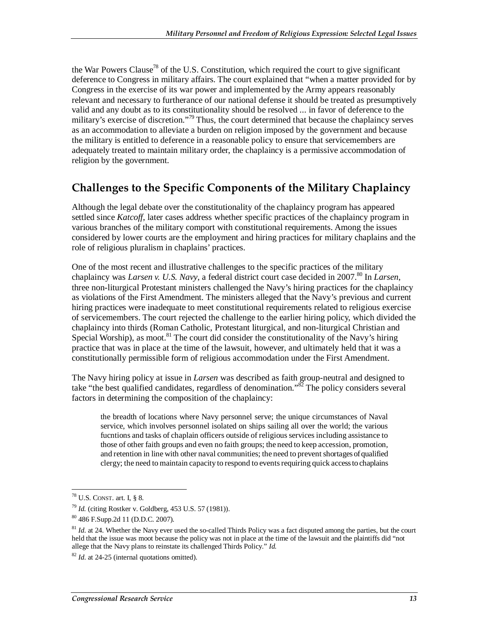the War Powers Clause<sup>78</sup> of the U.S. Constitution, which required the court to give significant deference to Congress in military affairs. The court explained that "when a matter provided for by Congress in the exercise of its war power and implemented by the Army appears reasonably relevant and necessary to furtherance of our national defense it should be treated as presumptively valid and any doubt as to its constitutionality should be resolved ... in favor of deference to the military's exercise of discretion."<sup>79</sup> Thus, the court determined that because the chaplaincy serves as an accommodation to alleviate a burden on religion imposed by the government and because the military is entitled to deference in a reasonable policy to ensure that servicemembers are adequately treated to maintain military order, the chaplaincy is a permissive accommodation of religion by the government.

### **Challenges to the Specific Components of the Military Chaplaincy**

Although the legal debate over the constitutionality of the chaplaincy program has appeared settled since *Katcoff*, later cases address whether specific practices of the chaplaincy program in various branches of the military comport with constitutional requirements. Among the issues considered by lower courts are the employment and hiring practices for military chaplains and the role of religious pluralism in chaplains' practices.

One of the most recent and illustrative challenges to the specific practices of the military chaplaincy was *Larsen v. U.S. Navy*, a federal district court case decided in 2007.<sup>80</sup> In *Larsen*, three non-liturgical Protestant ministers challenged the Navy's hiring practices for the chaplaincy as violations of the First Amendment. The ministers alleged that the Navy's previous and current hiring practices were inadequate to meet constitutional requirements related to religious exercise of servicemembers. The court rejected the challenge to the earlier hiring policy, which divided the chaplaincy into thirds (Roman Catholic, Protestant liturgical, and non-liturgical Christian and Special Worship), as moot.<sup>81</sup> The court did consider the constitutionality of the Navy's hiring practice that was in place at the time of the lawsuit, however, and ultimately held that it was a constitutionally permissible form of religious accommodation under the First Amendment.

The Navy hiring policy at issue in *Larsen* was described as faith group-neutral and designed to take "the best qualified candidates, regardless of denomination."82 The policy considers several factors in determining the composition of the chaplaincy:

the breadth of locations where Navy personnel serve; the unique circumstances of Naval service, which involves personnel isolated on ships sailing all over the world; the various fucntions and tasks of chaplain officers outside of religious services including assistance to those of other faith groups and even no faith groups; the need to keep accession, promotion, and retention in line with other naval communities; the need to prevent shortages of qualified clergy; the need to maintain capacity to respond to events requiring quick access to chaplains

 $\overline{a}$  $^{78}$  U.S. CONST. art. I, § 8.

<sup>&</sup>lt;sup>79</sup> *Id.* (citing Rostker v. Goldberg, 453 U.S. 57 (1981)).<br><sup>80</sup> 486 F.Supp.2d 11 (D.D.C. 2007).

<sup>&</sup>lt;sup>81</sup> *Id.* at 24. Whether the Navy ever used the so-called Thirds Policy was a fact disputed among the parties, but the court held that the issue was moot because the policy was not in place at the time of the lawsuit and the plaintiffs did "not allege that the Navy plans to reinstate its challenged Thirds Policy." *Id.*

<sup>82</sup> *Id*. at 24-25 (internal quotations omitted).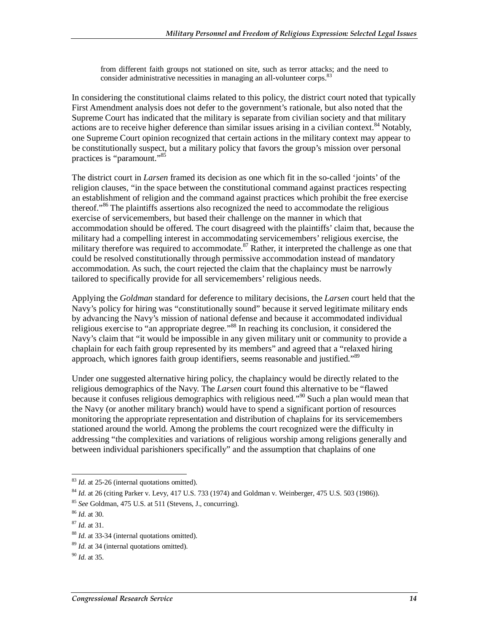from different faith groups not stationed on site, such as terror attacks; and the need to consider administrative necessities in managing an all-volunteer corps. $83$ 

In considering the constitutional claims related to this policy, the district court noted that typically First Amendment analysis does not defer to the government's rationale, but also noted that the Supreme Court has indicated that the military is separate from civilian society and that military actions are to receive higher deference than similar issues arising in a civilian context.<sup>84</sup> Notably, one Supreme Court opinion recognized that certain actions in the military context may appear to be constitutionally suspect, but a military policy that favors the group's mission over personal practices is "paramount."85

The district court in *Larsen* framed its decision as one which fit in the so-called 'joints' of the religion clauses, "in the space between the constitutional command against practices respecting an establishment of religion and the command against practices which prohibit the free exercise thereof."<sup>86</sup> The plaintiffs assertions also recognized the need to accommodate the religious exercise of servicemembers, but based their challenge on the manner in which that accommodation should be offered. The court disagreed with the plaintiffs' claim that, because the military had a compelling interest in accommodating servicemembers' religious exercise, the military therefore was required to accommodate.<sup>87</sup> Rather, it interpreted the challenge as one that could be resolved constitutionally through permissive accommodation instead of mandatory accommodation. As such, the court rejected the claim that the chaplaincy must be narrowly tailored to specifically provide for all servicemembers' religious needs.

Applying the *Goldman* standard for deference to military decisions, the *Larsen* court held that the Navy's policy for hiring was "constitutionally sound" because it served legitimate military ends by advancing the Navy's mission of national defense and because it accommodated individual religious exercise to "an appropriate degree."88 In reaching its conclusion, it considered the Navy's claim that "it would be impossible in any given military unit or community to provide a chaplain for each faith group represented by its members" and agreed that a "relaxed hiring approach, which ignores faith group identifiers, seems reasonable and justified."<sup>89</sup>

Under one suggested alternative hiring policy, the chaplaincy would be directly related to the religious demographics of the Navy. The *Larsen* court found this alternative to be "flawed because it confuses religious demographics with religious need.<sup>"90</sup> Such a plan would mean that the Navy (or another military branch) would have to spend a significant portion of resources monitoring the appropriate representation and distribution of chaplains for its servicemembers stationed around the world. Among the problems the court recognized were the difficulty in addressing "the complexities and variations of religious worship among religions generally and between individual parishioners specifically" and the assumption that chaplains of one

<sup>-</sup><sup>83</sup> *Id.* at 25-26 (internal quotations omitted).

<sup>84</sup> *Id*. at 26 (citing Parker v. Levy, 417 U.S. 733 (1974) and Goldman v. Weinberger, 475 U.S. 503 (1986)).

<sup>85</sup> *See* Goldman, 475 U.S. at 511 (Stevens, J., concurring). 86 *Id*. at 30.

<sup>87</sup> *Id*. at 31.

<sup>88</sup> *Id*. at 33-34 (internal quotations omitted).

<sup>89</sup> *Id*. at 34 (internal quotations omitted).

<sup>90</sup> *Id*. at 35.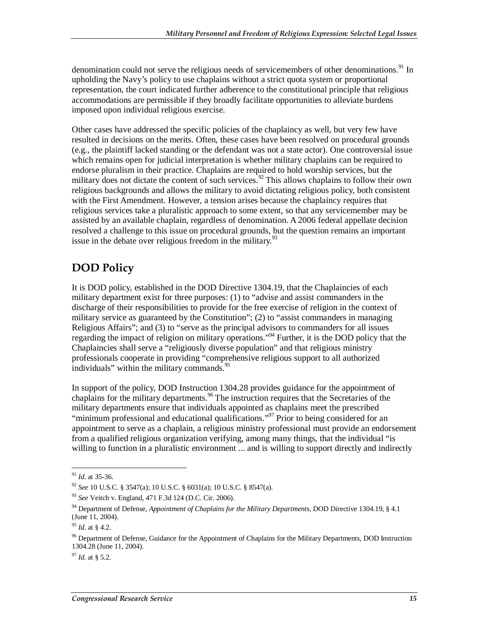denomination could not serve the religious needs of servicemembers of other denominations.<sup>91</sup> In upholding the Navy's policy to use chaplains without a strict quota system or proportional representation, the court indicated further adherence to the constitutional principle that religious accommodations are permissible if they broadly facilitate opportunities to alleviate burdens imposed upon individual religious exercise.

Other cases have addressed the specific policies of the chaplaincy as well, but very few have resulted in decisions on the merits. Often, these cases have been resolved on procedural grounds (e.g., the plaintiff lacked standing or the defendant was not a state actor). One controversial issue which remains open for judicial interpretation is whether military chaplains can be required to endorse pluralism in their practice. Chaplains are required to hold worship services, but the military does not dictate the content of such services.<sup>92</sup> This allows chaplains to follow their own religious backgrounds and allows the military to avoid dictating religious policy, both consistent with the First Amendment. However, a tension arises because the chaplaincy requires that religious services take a pluralistic approach to some extent, so that any servicemember may be assisted by an available chaplain, regardless of denomination. A 2006 federal appellate decision resolved a challenge to this issue on procedural grounds, but the question remains an important issue in the debate over religious freedom in the military. $93$ 

## **DOD Policy**

It is DOD policy, established in the DOD Directive 1304.19, that the Chaplaincies of each military department exist for three purposes: (1) to "advise and assist commanders in the discharge of their responsibilities to provide for the free exercise of religion in the context of military service as guaranteed by the Constitution"; (2) to "assist commanders in managing Religious Affairs"; and (3) to "serve as the principal advisors to commanders for all issues regarding the impact of religion on military operations."<sup>94</sup> Further, it is the DOD policy that the Chaplaincies shall serve a "religiously diverse population" and that religious ministry professionals cooperate in providing "comprehensive religious support to all authorized individuals" within the military commands.<sup>95</sup>

In support of the policy, DOD Instruction 1304.28 provides guidance for the appointment of chaplains for the military departments.<sup>96</sup> The instruction requires that the Secretaries of the military departments ensure that individuals appointed as chaplains meet the prescribed "minimum professional and educational qualifications."<sup>97</sup> Prior to being considered for an appointment to serve as a chaplain, a religious ministry professional must provide an endorsement from a qualified religious organization verifying, among many things, that the individual "is willing to function in a pluralistic environment ... and is willing to support directly and indirectly

-

<sup>97</sup> *Id*. at § 5.2.

<sup>91</sup> *Id*. at 35-36.

<sup>92</sup> *See* 10 U.S.C. § 3547(a); 10 U.S.C. § 6031(a); 10 U.S.C. § 8547(a).

<sup>93</sup> *See* Veitch v. England, 471 F.3d 124 (D.C. Cir. 2006).

<sup>94</sup> Department of Defense, *Appointment of Chaplains for the Military Departments*, DOD Directive 1304.19, § 4.1 (June 11, 2004).

<sup>95</sup> *Id*. at § 4.2.

<sup>&</sup>lt;sup>96</sup> Department of Defense, Guidance for the Appointment of Chaplains for the Military Departments, DOD Instruction 1304.28 (June 11, 2004).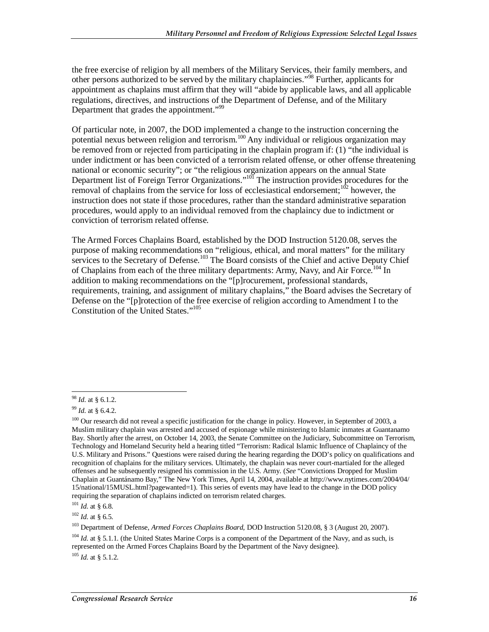the free exercise of religion by all members of the Military Services, their family members, and other persons authorized to be served by the military chaplaincies."98 Further, applicants for appointment as chaplains must affirm that they will "abide by applicable laws, and all applicable regulations, directives, and instructions of the Department of Defense, and of the Military Department that grades the appointment."<sup>99</sup>

Of particular note, in 2007, the DOD implemented a change to the instruction concerning the potential nexus between religion and terrorism.100 Any individual or religious organization may be removed from or rejected from participating in the chaplain program if: (1) "the individual is under indictment or has been convicted of a terrorism related offense, or other offense threatening national or economic security"; or "the religious organization appears on the annual State Department list of Foreign Terror Organizations."<sup>101</sup> The instruction provides procedures for the removal of chaplains from the service for loss of ecclesiastical endorsement;<sup>102</sup> however, the instruction does not state if those procedures, rather than the standard administrative separation procedures, would apply to an individual removed from the chaplaincy due to indictment or conviction of terrorism related offense.

The Armed Forces Chaplains Board, established by the DOD Instruction 5120.08, serves the purpose of making recommendations on "religious, ethical, and moral matters" for the military services to the Secretary of Defense.<sup>103</sup> The Board consists of the Chief and active Deputy Chief of Chaplains from each of the three military departments: Army, Navy, and Air Force.<sup>104</sup> In addition to making recommendations on the "[p]rocurement, professional standards, requirements, training, and assignment of military chaplains," the Board advises the Secretary of Defense on the "[p]rotection of the free exercise of religion according to Amendment I to the Constitution of the United States."105

<sup>105</sup> *Id*. at § 5.1.2.

<sup>-</sup><sup>98</sup> *Id*. at § 6.1.2.

<sup>99</sup> *Id*. at § 6.4.2.

<sup>&</sup>lt;sup>100</sup> Our research did not reveal a specific justification for the change in policy. However, in September of 2003, a Muslim military chaplain was arrested and accused of espionage while ministering to Islamic inmates at Guantanamo Bay. Shortly after the arrest, on October 14, 2003, the Senate Committee on the Judiciary, Subcommittee on Terrorism, Technology and Homeland Security held a hearing titled "Terrorism: Radical Islamic Influence of Chaplaincy of the U.S. Military and Prisons." Questions were raised during the hearing regarding the DOD's policy on qualifications and recognition of chaplains for the military services. Ultimately, the chaplain was never court-martialed for the alleged offenses and he subsequently resigned his commission in the U.S. Army. (*See* "Convictions Dropped for Muslim Chaplain at Guantánamo Bay," The New York Times, April 14, 2004, available at http://www.nytimes.com/2004/04/ 15/national/15MUSL.html?pagewanted=1). This series of events may have lead to the change in the DOD policy requiring the separation of chaplains indicted on terrorism related charges.

<sup>101</sup> *Id*. at § 6.8.

<sup>102</sup> *Id*. at § 6.5.

<sup>103</sup> Department of Defense, *Armed Forces Chaplains Board*, DOD Instruction 5120.08, § 3 (August 20, 2007).

<sup>&</sup>lt;sup>104</sup> *Id.* at § 5.1.1. (the United States Marine Corps is a component of the Department of the Navy, and as such, is represented on the Armed Forces Chaplains Board by the Department of the Navy designee).